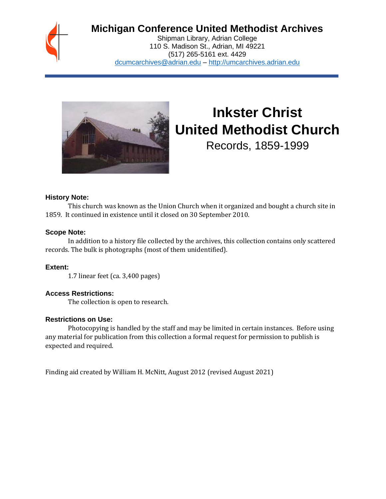

# **Michigan Conference United Methodist Archives**

Shipman Library, Adrian College 110 S. Madison St., Adrian, MI 49221 (517) 265-5161 ext. 4429 [dcumcarchives@adrian.edu](mailto:dcumcarchives@adrian.edu) – [http://umcarchives.adrian.edu](http://umcarchives.adrian.edu/)



# **Inkster Christ United Methodist Church**

Records, 1859-1999

#### **History Note:**

This church was known as the Union Church when it organized and bought a church site in 1859. It continued in existence until it closed on 30 September 2010.

#### **Scope Note:**

In addition to a history file collected by the archives, this collection contains only scattered records. The bulk is photographs (most of them unidentified).

# **Extent:**

1.7 linear feet (ca. 3,400 pages)

# **Access Restrictions:**

The collection is open to research.

#### **Restrictions on Use:**

Photocopying is handled by the staff and may be limited in certain instances. Before using any material for publication from this collection a formal request for permission to publish is expected and required.

Finding aid created by William H. McNitt, August 2012 (revised August 2021)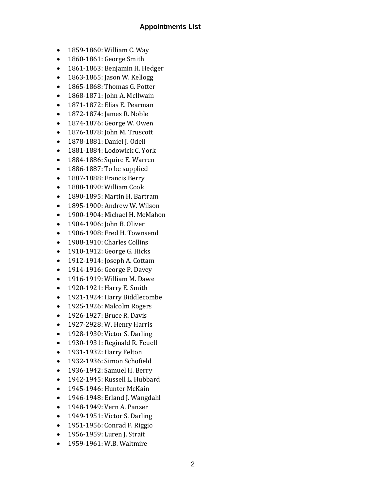#### **Appointments List**

- 1859-1860: William C. Way
- 1860-1861: George Smith
- 1861-1863: Benjamin H. Hedger
- 1863-1865: Jason W. Kellogg
- 1865-1868: Thomas G. Potter
- 1868-1871: John A. McIlwain
- 1871-1872: Elias E. Pearman
- 1872-1874: James R. Noble
- 1874-1876: George W. Owen
- 1876-1878: John M. Truscott
- 1878-1881: Daniel J. Odell
- 1881-1884: Lodowick C. York
- 1884-1886: Squire E. Warren
- 1886-1887: To be supplied
- 1887-1888: Francis Berry
- 1888-1890: William Cook
- 1890-1895: Martin H. Bartram
- 1895-1900: Andrew W. Wilson
- 1900-1904: Michael H. McMahon
- 1904-1906: John B. Oliver
- 1906-1908: Fred H. Townsend
- 1908-1910: Charles Collins
- 1910-1912: George G. Hicks
- 1912-1914: Joseph A. Cottam
- 1914-1916: George P. Davey
- 1916-1919: William M. Dawe
- 1920-1921: Harry E. Smith
- 1921-1924: Harry Biddlecombe
- 1925-1926: Malcolm Rogers
- 1926-1927: Bruce R. Davis
- 1927-2928: W. Henry Harris
- 1928-1930: Victor S. Darling
- 1930-1931: Reginald R. Feuell
- 1931-1932: Harry Felton
- 1932-1936: Simon Schofield
- 1936-1942: Samuel H. Berry
- 1942-1945: Russell L. Hubbard
- 1945-1946: Hunter McKain
- 1946-1948: Erland J. Wangdahl
- 1948-1949: Vern A. Panzer
- 1949-1951: Victor S. Darling
- 1951-1956: Conrad F. Riggio
- 1956-1959: Luren J. Strait
- 1959-1961: W.B. Waltmire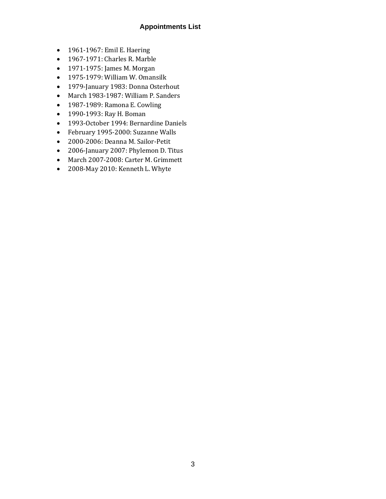# **Appointments List**

- 1961-1967: Emil E. Haering
- 1967-1971: Charles R. Marble
- 1971-1975: James M. Morgan
- 1975-1979: William W. Omansilk
- 1979-January 1983: Donna Osterhout
- March 1983-1987: William P. Sanders
- 1987-1989: Ramona E. Cowling
- 1990-1993: Ray H. Boman
- 1993-October 1994: Bernardine Daniels
- February 1995-2000: Suzanne Walls
- 2000-2006: Deanna M. Sailor-Petit
- 2006-January 2007: Phylemon D. Titus
- March 2007-2008: Carter M. Grimmett
- 2008-May 2010: Kenneth L. Whyte